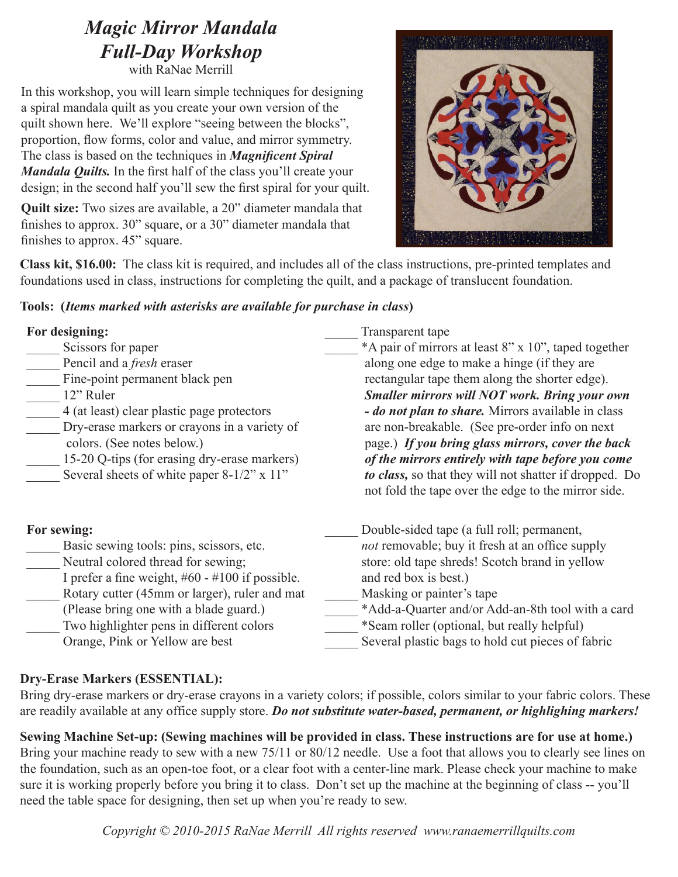# *Magic Mirror Mandala Full-Day Workshop*

with RaNae Merrill

In this workshop, you will learn simple techniques for designing a spiral mandala quilt as you create your own version of the quilt shown here. We'll explore "seeing between the blocks", proportion, flow forms, color and value, and mirror symmetry. The class is based on the techniques in *Magnificent Spiral Mandala Quilts.* In the first half of the class you'll create your design; in the second half you'll sew the first spiral for your quilt.

**Quilt size:** Two sizes are available, a 20" diameter mandala that finishes to approx. 30" square, or a 30" diameter mandala that finishes to approx. 45" square.



**Class kit, \$16.00:** The class kit is required, and includes all of the class instructions, pre-printed templates and foundations used in class, instructions for completing the quilt, and a package of translucent foundation.

## **Tools: (***Items marked with asterisks are available for purchase in class***)**

| For designing:<br>Scissors for paper<br>Pencil and a <i>fresh</i> eraser<br>Fine-point permanent black pen<br>12" Ruler<br>4 (at least) clear plastic page protectors<br>Dry-erase markers or crayons in a variety of<br>colors. (See notes below.)<br>15-20 Q-tips (for erasing dry-erase markers)<br>Several sheets of white paper 8-1/2" x 11" | Transparent tape<br>*A pair of mirrors at least 8" x 10", taped together<br>along one edge to make a hinge (if they are<br>rectangular tape them along the shorter edge).<br><b>Smaller mirrors will NOT work. Bring your own</b><br>- do not plan to share. Mirrors available in class<br>are non-breakable. (See pre-order info on next)<br>page.) If you bring glass mirrors, cover the back<br>of the mirrors entirely with tape before you come<br>to class, so that they will not shatter if dropped. Do<br>not fold the tape over the edge to the mirror side. |
|---------------------------------------------------------------------------------------------------------------------------------------------------------------------------------------------------------------------------------------------------------------------------------------------------------------------------------------------------|-----------------------------------------------------------------------------------------------------------------------------------------------------------------------------------------------------------------------------------------------------------------------------------------------------------------------------------------------------------------------------------------------------------------------------------------------------------------------------------------------------------------------------------------------------------------------|
| For sewing:                                                                                                                                                                                                                                                                                                                                       | Double-sided tape (a full roll; permanent,                                                                                                                                                                                                                                                                                                                                                                                                                                                                                                                            |
| Basic sewing tools: pins, scissors, etc.                                                                                                                                                                                                                                                                                                          | <i>not</i> removable; buy it fresh at an office supply                                                                                                                                                                                                                                                                                                                                                                                                                                                                                                                |
| Neutral colored thread for sewing;                                                                                                                                                                                                                                                                                                                | store: old tape shreds! Scotch brand in yellow                                                                                                                                                                                                                                                                                                                                                                                                                                                                                                                        |
| I prefer a fine weight, $#60 - #100$ if possible.                                                                                                                                                                                                                                                                                                 | and red box is best.)                                                                                                                                                                                                                                                                                                                                                                                                                                                                                                                                                 |
| Rotary cutter (45mm or larger), ruler and mat                                                                                                                                                                                                                                                                                                     | Masking or painter's tape                                                                                                                                                                                                                                                                                                                                                                                                                                                                                                                                             |
| (Please bring one with a blade guard.)                                                                                                                                                                                                                                                                                                            | *Add-a-Quarter and/or Add-an-8th tool with a card                                                                                                                                                                                                                                                                                                                                                                                                                                                                                                                     |
| Two highlighter pens in different colors                                                                                                                                                                                                                                                                                                          | *Seam roller (optional, but really helpful)                                                                                                                                                                                                                                                                                                                                                                                                                                                                                                                           |
| Orange, Pink or Yellow are best                                                                                                                                                                                                                                                                                                                   | Several plastic bags to hold cut pieces of fabric                                                                                                                                                                                                                                                                                                                                                                                                                                                                                                                     |

## **Dry-Erase Markers (ESSENTIAL):**

Bring dry-erase markers or dry-erase crayons in a variety colors; if possible, colors similar to your fabric colors. These are readily available at any office supply store. *Do not substitute water-based, permanent, or highlighing markers!* 

**Sewing Machine Set-up: (Sewing machines will be provided in class. These instructions are for use at home.)** Bring your machine ready to sew with a new 75/11 or 80/12 needle. Use a foot that allows you to clearly see lines on the foundation, such as an open-toe foot, or a clear foot with a center-line mark. Please check your machine to make sure it is working properly before you bring it to class. Don't set up the machine at the beginning of class -- you'll need the table space for designing, then set up when you're ready to sew.

*Copyright © 2010-2015 RaNae Merrill All rights reserved www.ranaemerrillquilts.com*